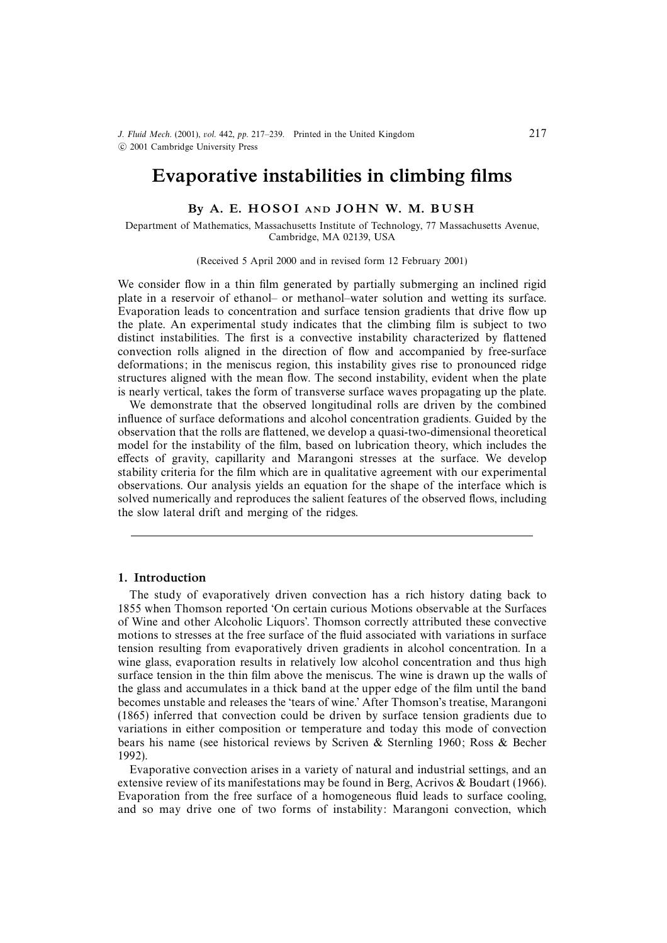J. Fluid Mech. (2001), vol. 442, pp. 217–239. Printed in the United Kingdom <sup>c</sup> 2001 Cambridge University Press

# Evaporative instabilities in climbing films

# By A. E. HOSOI AND JOHN W. M. BUSH

Department of Mathematics, Massachusetts Institute of Technology, 77 Massachusetts Avenue, Cambridge, MA 02139, USA

(Received 5 April 2000 and in revised form 12 February 2001)

We consider flow in a thin film generated by partially submerging an inclined rigid plate in a reservoir of ethanol– or methanol–water solution and wetting its surface. Evaporation leads to concentration and surface tension gradients that drive flow up the plate. An experimental study indicates that the climbing film is subject to two distinct instabilities. The first is a convective instability characterized by flattened convection rolls aligned in the direction of flow and accompanied by free-surface deformations; in the meniscus region, this instability gives rise to pronounced ridge structures aligned with the mean flow. The second instability, evident when the plate is nearly vertical, takes the form of transverse surface waves propagating up the plate.

We demonstrate that the observed longitudinal rolls are driven by the combined influence of surface deformations and alcohol concentration gradients. Guided by the observation that the rolls are flattened, we develop a quasi-two-dimensional theoretical model for the instability of the film, based on lubrication theory, which includes the effects of gravity, capillarity and Marangoni stresses at the surface. We develop stability criteria for the film which are in qualitative agreement with our experimental observations. Our analysis yields an equation for the shape of the interface which is solved numerically and reproduces the salient features of the observed flows, including the slow lateral drift and merging of the ridges.

#### 1. Introduction

The study of evaporatively driven convection has a rich history dating back to 1855 when Thomson reported 'On certain curious Motions observable at the Surfaces of Wine and other Alcoholic Liquors'. Thomson correctly attributed these convective motions to stresses at the free surface of the fluid associated with variations in surface tension resulting from evaporatively driven gradients in alcohol concentration. In a wine glass, evaporation results in relatively low alcohol concentration and thus high surface tension in the thin film above the meniscus. The wine is drawn up the walls of the glass and accumulates in a thick band at the upper edge of the film until the band becomes unstable and releases the 'tears of wine.' After Thomson's treatise, Marangoni (1865) inferred that convection could be driven by surface tension gradients due to variations in either composition or temperature and today this mode of convection bears his name (see historical reviews by Scriven & Sternling 1960; Ross & Becher 1992).

Evaporative convection arises in a variety of natural and industrial settings, and an extensive review of its manifestations may be found in Berg, Acrivos & Boudart (1966). Evaporation from the free surface of a homogeneous fluid leads to surface cooling, and so may drive one of two forms of instability: Marangoni convection, which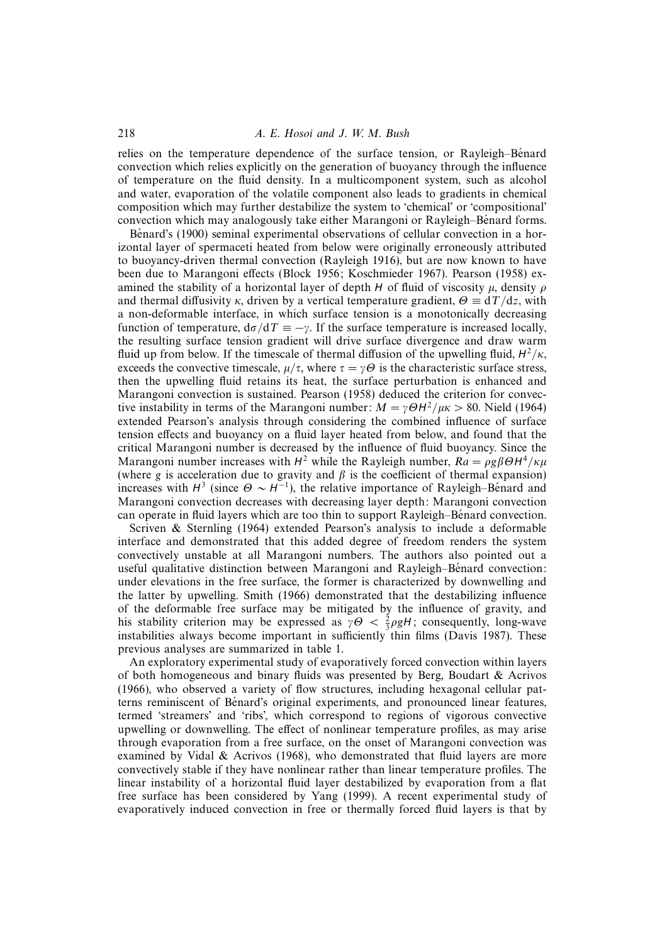relies on the temperature dependence of the surface tension, or Rayleigh–Benard ´ convection which relies explicitly on the generation of buoyancy through the influence of temperature on the fluid density. In a multicomponent system, such as alcohol and water, evaporation of the volatile component also leads to gradients in chemical composition which may further destabilize the system to 'chemical' or 'compositional' convection which may analogously take either Marangoni or Rayleigh–Bénard forms.

Bénard's (1900) seminal experimental observations of cellular convection in a horizontal layer of spermaceti heated from below were originally erroneously attributed to buoyancy-driven thermal convection (Rayleigh 1916), but are now known to have been due to Marangoni effects (Block 1956; Koschmieder 1967). Pearson (1958) examined the stability of a horizontal layer of depth H of fluid of viscosity  $\mu$ , density  $\rho$ and thermal diffusivity κ, driven by a vertical temperature gradient,  $\Theta = dT/dz$ , with a non-deformable interface, in which surface tension is a monotonically decreasing function of temperature,  $d\sigma/dT \equiv -\gamma$ . If the surface temperature is increased locally, the resulting surface tension gradient will drive surface divergence and draw warm fluid up from below. If the timescale of thermal diffusion of the upwelling fluid,  $H^2/\kappa$ , exceeds the convective timescale,  $\mu/\tau$ , where  $\tau = \gamma \Theta$  is the characteristic surface stress, then the upwelling fluid retains its heat, the surface perturbation is enhanced and Marangoni convection is sustained. Pearson (1958) deduced the criterion for convective instability in terms of the Marangoni number:  $M = \gamma \Theta H^2 / \mu \kappa > 80$ . Nield (1964) extended Pearson's analysis through considering the combined influence of surface tension effects and buoyancy on a fluid layer heated from below, and found that the critical Marangoni number is decreased by the influence of fluid buoyancy. Since the Marangoni number increases with  $H^2$  while the Rayleigh number,  $Ra = \rho g \beta \Theta H^4 / \kappa \mu$ (where g is acceleration due to gravity and  $\beta$  is the coefficient of thermal expansion) increases with  $H^3$  (since  $\Theta \sim H^{-1}$ ), the relative importance of Rayleigh–Bénard and Marangoni convection decreases with decreasing layer depth: Marangoni convection can operate in fluid layers which are too thin to support Rayleigh–Bénard convection.

Scriven & Sternling (1964) extended Pearson's analysis to include a deformable interface and demonstrated that this added degree of freedom renders the system convectively unstable at all Marangoni numbers. The authors also pointed out a useful qualitative distinction between Marangoni and Rayleigh–Bénard convection: under elevations in the free surface, the former is characterized by downwelling and the latter by upwelling. Smith (1966) demonstrated that the destabilizing influence of the deformable free surface may be mitigated by the influence of gravity, and his stability criterion may be expressed as  $\gamma \Theta \langle \frac{2}{3} \rho g H$ ; consequently, long-wave instabilities always become important in sufficiently thin films (Davis 1987). These previous analyses are summarized in table 1.

An exploratory experimental study of evaporatively forced convection within layers of both homogeneous and binary fluids was presented by Berg, Boudart & Acrivos (1966), who observed a variety of flow structures, including hexagonal cellular patterns reminiscent of Bénard's original experiments, and pronounced linear features, termed 'streamers' and 'ribs', which correspond to regions of vigorous convective upwelling or downwelling. The effect of nonlinear temperature profiles, as may arise through evaporation from a free surface, on the onset of Marangoni convection was examined by Vidal & Acrivos (1968), who demonstrated that fluid layers are more convectively stable if they have nonlinear rather than linear temperature profiles. The linear instability of a horizontal fluid layer destabilized by evaporation from a flat free surface has been considered by Yang (1999). A recent experimental study of evaporatively induced convection in free or thermally forced fluid layers is that by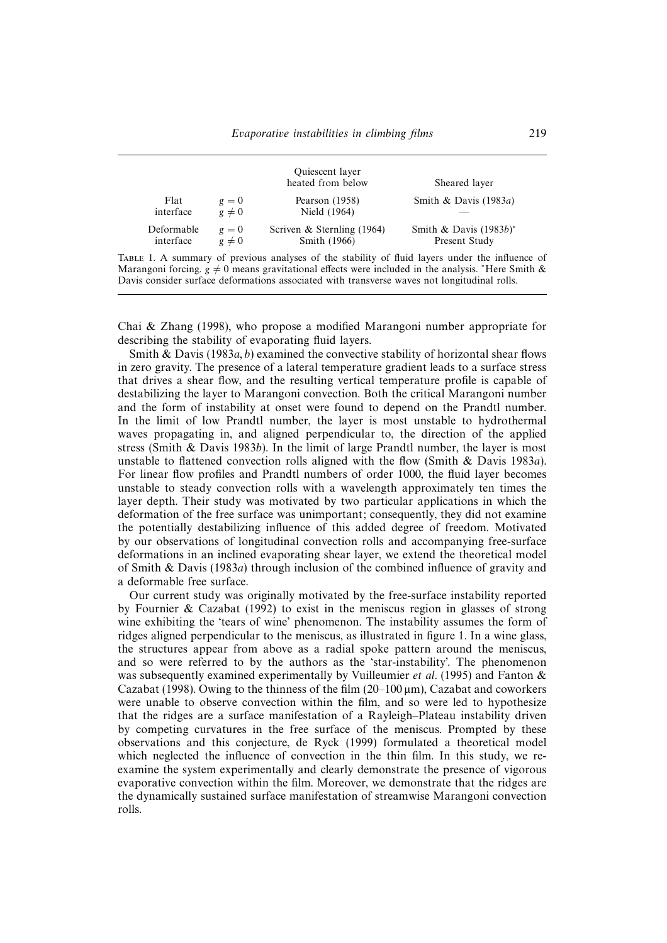|            |            | Quiescent layer<br>heated from below | Sheared layer             |
|------------|------------|--------------------------------------|---------------------------|
| Flat       | $g=0$      | Pearson $(1958)$                     | Smith & Davis $(1983a)$   |
| interface  | $g \neq 0$ | Nield (1964)                         |                           |
| Deformable | $g=0$      | Scriven $&$ Sternling (1964)         | Smith & Davis $(1983b)^*$ |
| interface  | $g \neq 0$ | Smith (1966)                         | Present Study             |

Table 1. A summary of previous analyses of the stability of fluid layers under the influence of Marangoni forcing.  $g \neq 0$  means gravitational effects were included in the analysis. \*Here Smith & Davis consider surface deformations associated with transverse waves not longitudinal rolls.

Chai & Zhang (1998), who propose a modified Marangoni number appropriate for describing the stability of evaporating fluid layers.

Smith & Davis (1983 $a$ , b) examined the convective stability of horizontal shear flows in zero gravity. The presence of a lateral temperature gradient leads to a surface stress that drives a shear flow, and the resulting vertical temperature profile is capable of destabilizing the layer to Marangoni convection. Both the critical Marangoni number and the form of instability at onset were found to depend on the Prandtl number. In the limit of low Prandtl number, the layer is most unstable to hydrothermal waves propagating in, and aligned perpendicular to, the direction of the applied stress (Smith & Davis 1983b). In the limit of large Prandtl number, the layer is most unstable to flattened convection rolls aligned with the flow (Smith & Davis 1983a). For linear flow profiles and Prandtl numbers of order 1000, the fluid layer becomes unstable to steady convection rolls with a wavelength approximately ten times the layer depth. Their study was motivated by two particular applications in which the deformation of the free surface was unimportant; consequently, they did not examine the potentially destabilizing influence of this added degree of freedom. Motivated by our observations of longitudinal convection rolls and accompanying free-surface deformations in an inclined evaporating shear layer, we extend the theoretical model of Smith & Davis (1983a) through inclusion of the combined influence of gravity and a deformable free surface.

Our current study was originally motivated by the free-surface instability reported by Fournier & Cazabat (1992) to exist in the meniscus region in glasses of strong wine exhibiting the 'tears of wine' phenomenon. The instability assumes the form of ridges aligned perpendicular to the meniscus, as illustrated in figure 1. In a wine glass, the structures appear from above as a radial spoke pattern around the meniscus, and so were referred to by the authors as the 'star-instability'. The phenomenon was subsequently examined experimentally by Vuilleumier *et al.* (1995) and Fanton  $\&$ Cazabat (1998). Owing to the thinness of the film  $(20-100 \,\mu m)$ , Cazabat and coworkers were unable to observe convection within the film, and so were led to hypothesize that the ridges are a surface manifestation of a Rayleigh–Plateau instability driven by competing curvatures in the free surface of the meniscus. Prompted by these observations and this conjecture, de Ryck (1999) formulated a theoretical model which neglected the influence of convection in the thin film. In this study, we reexamine the system experimentally and clearly demonstrate the presence of vigorous evaporative convection within the film. Moreover, we demonstrate that the ridges are the dynamically sustained surface manifestation of streamwise Marangoni convection rolls.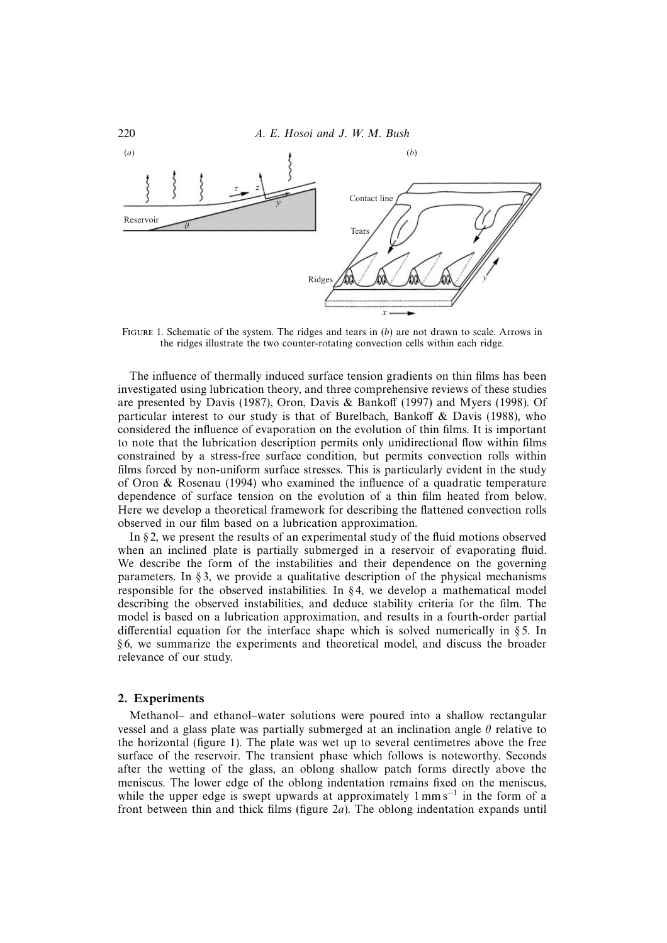$A. E. Hosoi and J. W. M. Bush$ 



FIGURE 1. Schematic of the system. The ridges and tears in (b) are not drawn to scale. Arrows in the ridges illustrate the two counter-rotating convection cells within each ridge.

The influence of thermally induced surface tension gradients on thin films has been investigated using lubrication theory, and three comprehensive reviews of these studies are presented by Davis (1987), Oron, Davis & Bankoff (1997) and Myers (1998). Of particular interest to our study is that of Burelbach, Bankoff  $\&$  Davis (1988), who considered the influence of evaporation on the evolution of thin films. It is important to note that the lubrication description permits only unidirectional flow within films constrained by a stress-free surface condition, but permits convection rolls within films forced by non-uniform surface stresses. This is particularly evident in the study of Oron & Rosenau (1994) who examined the influence of a quadratic temperature dependence of surface tension on the evolution of a thin film heated from below. Here we develop a theoretical framework for describing the flattened convection rolls observed in our film based on a lubrication approximation.

In  $\S$ 2, we present the results of an experimental study of the fluid motions observed when an inclined plate is partially submerged in a reservoir of evaporating fluid. We describe the form of the instabilities and their dependence on the governing parameters. In  $\S$ 3, we provide a qualitative description of the physical mechanisms responsible for the observed instabilities. In  $\S 4$ , we develop a mathematical model describing the observed instabilities, and deduce stability criteria for the film. The model is based on a lubrication approximation, and results in a fourth-order partial differential equation for the interface shape which is solved numerically in § 5. In § 6, we summarize the experiments and theoretical model, and discuss the broader relevance of our study.

# 2. Experiments

Methanol– and ethanol–water solutions were poured into a shallow rectangular vessel and a glass plate was partially submerged at an inclination angle  $\theta$  relative to the horizontal (figure 1). The plate was wet up to several centimetres above the free surface of the reservoir. The transient phase which follows is noteworthy. Seconds after the wetting of the glass, an oblong shallow patch forms directly above the meniscus. The lower edge of the oblong indentation remains fixed on the meniscus, while the upper edge is swept upwards at approximately  $1 \text{ mm s}^{-1}$  in the form of a front between thin and thick films (figure 2a). The oblong indentation expands until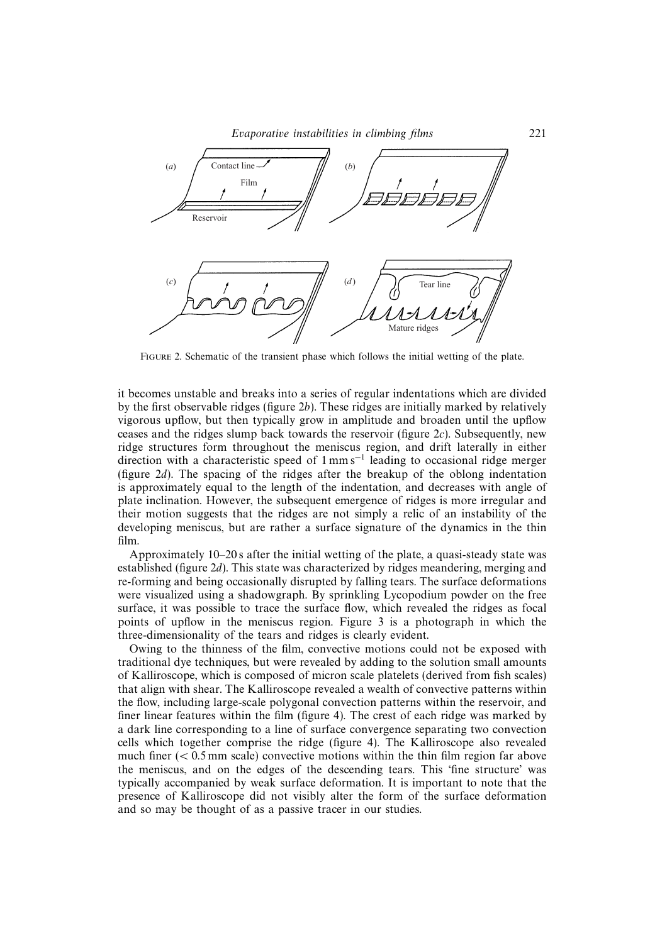

Figure 2. Schematic of the transient phase which follows the initial wetting of the plate.

it becomes unstable and breaks into a series of regular indentations which are divided by the first observable ridges (figure 2b). These ridges are initially marked by relatively vigorous upflow, but then typically grow in amplitude and broaden until the upflow ceases and the ridges slump back towards the reservoir (figure  $2c$ ). Subsequently, new ridge structures form throughout the meniscus region, and drift laterally in either direction with a characteristic speed of 1 mm s−<sup>1</sup> leading to occasional ridge merger (figure 2d). The spacing of the ridges after the breakup of the oblong indentation is approximately equal to the length of the indentation, and decreases with angle of plate inclination. However, the subsequent emergence of ridges is more irregular and their motion suggests that the ridges are not simply a relic of an instability of the developing meniscus, but are rather a surface signature of the dynamics in the thin film.

Approximately 10–20 s after the initial wetting of the plate, a quasi-steady state was established (figure 2d). This state was characterized by ridges meandering, merging and re-forming and being occasionally disrupted by falling tears. The surface deformations were visualized using a shadowgraph. By sprinkling Lycopodium powder on the free surface, it was possible to trace the surface flow, which revealed the ridges as focal points of upflow in the meniscus region. Figure 3 is a photograph in which the three-dimensionality of the tears and ridges is clearly evident.

Owing to the thinness of the film, convective motions could not be exposed with traditional dye techniques, but were revealed by adding to the solution small amounts of Kalliroscope, which is composed of micron scale platelets (derived from fish scales) that align with shear. The Kalliroscope revealed a wealth of convective patterns within the flow, including large-scale polygonal convection patterns within the reservoir, and finer linear features within the film (figure 4). The crest of each ridge was marked by a dark line corresponding to a line of surface convergence separating two convection cells which together comprise the ridge (figure 4). The Kalliroscope also revealed much finer  $( $0.5 \text{ mm}$  scale) convective motions within the thin film region far above$ the meniscus, and on the edges of the descending tears. This 'fine structure' was typically accompanied by weak surface deformation. It is important to note that the presence of Kalliroscope did not visibly alter the form of the surface deformation and so may be thought of as a passive tracer in our studies.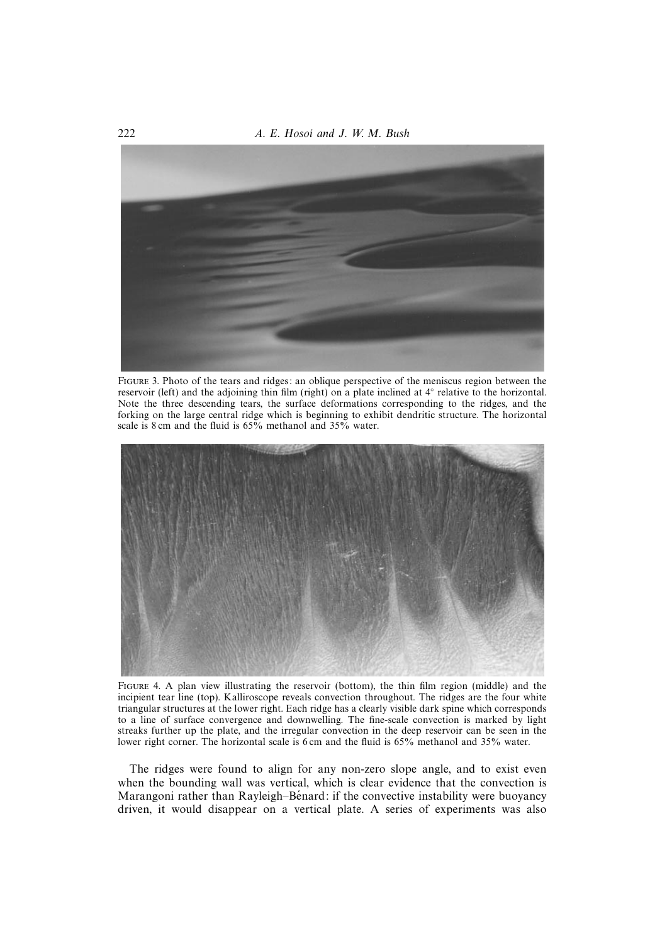222 A. E. Hosoi and J. W. M. Bush



Figure 3. Photo of the tears and ridges: an oblique perspective of the meniscus region between the reservoir (left) and the adjoining thin film (right) on a plate inclined at 4◦ relative to the horizontal. Note the three descending tears, the surface deformations corresponding to the ridges, and the forking on the large central ridge which is beginning to exhibit dendritic structure. The horizontal scale is 8 cm and the fluid is 65% methanol and 35% water.



Figure 4. A plan view illustrating the reservoir (bottom), the thin film region (middle) and the incipient tear line (top). Kalliroscope reveals convection throughout. The ridges are the four white triangular structures at the lower right. Each ridge has a clearly visible dark spine which corresponds to a line of surface convergence and downwelling. The fine-scale convection is marked by light streaks further up the plate, and the irregular convection in the deep reservoir can be seen in the lower right corner. The horizontal scale is 6 cm and the fluid is 65% methanol and 35% water.

The ridges were found to align for any non-zero slope angle, and to exist even when the bounding wall was vertical, which is clear evidence that the convection is Marangoni rather than Rayleigh–Bénard: if the convective instability were buoyancy driven, it would disappear on a vertical plate. A series of experiments was also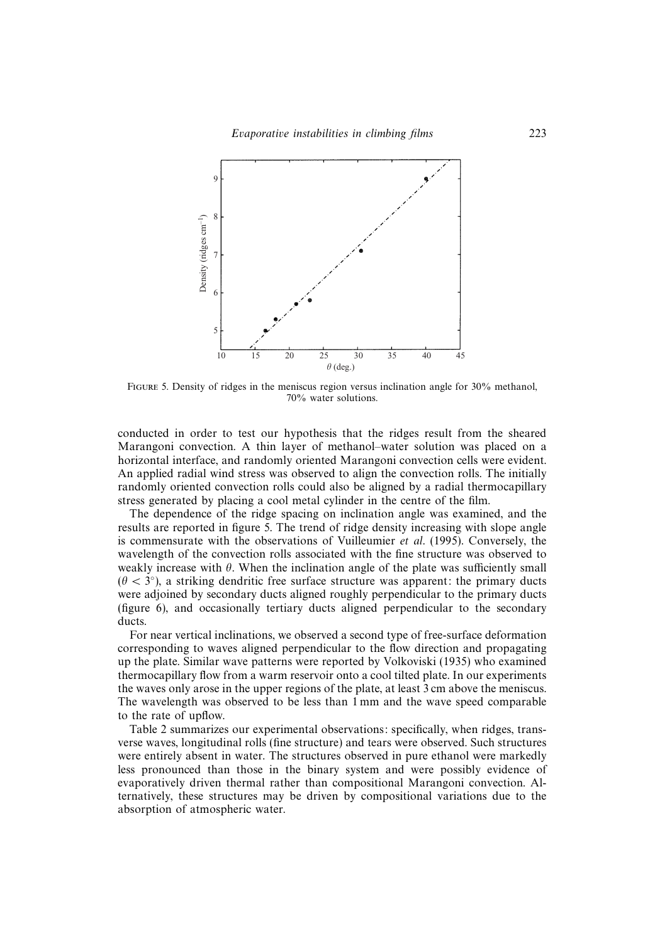

Figure 5. Density of ridges in the meniscus region versus inclination angle for 30% methanol, 70% water solutions.

conducted in order to test our hypothesis that the ridges result from the sheared Marangoni convection. A thin layer of methanol–water solution was placed on a horizontal interface, and randomly oriented Marangoni convection cells were evident. An applied radial wind stress was observed to align the convection rolls. The initially randomly oriented convection rolls could also be aligned by a radial thermocapillary stress generated by placing a cool metal cylinder in the centre of the film.

The dependence of the ridge spacing on inclination angle was examined, and the results are reported in figure 5. The trend of ridge density increasing with slope angle is commensurate with the observations of Vuilleumier et al. (1995). Conversely, the wavelength of the convection rolls associated with the fine structure was observed to weakly increase with  $\theta$ . When the inclination angle of the plate was sufficiently small  $(\theta < 3^{\circ})$ , a striking dendritic free surface structure was apparent: the primary ducts were adjoined by secondary ducts aligned roughly perpendicular to the primary ducts (figure 6), and occasionally tertiary ducts aligned perpendicular to the secondary ducts.

For near vertical inclinations, we observed a second type of free-surface deformation corresponding to waves aligned perpendicular to the flow direction and propagating up the plate. Similar wave patterns were reported by Volkoviski (1935) who examined thermocapillary flow from a warm reservoir onto a cool tilted plate. In our experiments the waves only arose in the upper regions of the plate, at least 3 cm above the meniscus. The wavelength was observed to be less than 1 mm and the wave speed comparable to the rate of upflow.

Table 2 summarizes our experimental observations: specifically, when ridges, transverse waves, longitudinal rolls (fine structure) and tears were observed. Such structures were entirely absent in water. The structures observed in pure ethanol were markedly less pronounced than those in the binary system and were possibly evidence of evaporatively driven thermal rather than compositional Marangoni convection. Alternatively, these structures may be driven by compositional variations due to the absorption of atmospheric water.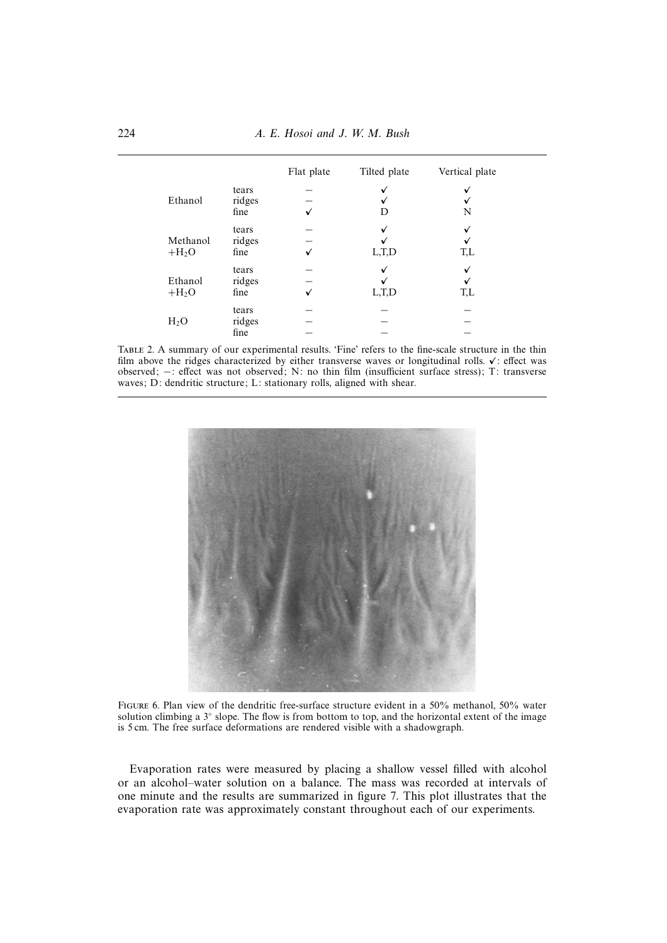|          |                | Flat plate   | Tilted plate | Vertical plate |
|----------|----------------|--------------|--------------|----------------|
|          | tears          |              | ✓            | ✓              |
| Ethanol  | ridges<br>fine | $\checkmark$ | √<br>D       | N              |
|          | tears          |              | ✓            | ✓              |
| Methanol | ridges         |              | ✓            |                |
| $+H2O$   | fine           | ✓            | L,T,D        | T,L            |
|          | tears          |              | ✓            | ✓              |
| Ethanol  | ridges         |              |              |                |
| $+H2O$   | fine           | ✓            | L,T,D        | T,L            |
|          | tears          |              |              |                |
| $H_2O$   | ridges         |              |              |                |
|          | fine           |              |              |                |

Table 2. A summary of our experimental results. 'Fine' refers to the fine-scale structure in the thin film above the ridges characterized by either transverse waves or longitudinal rolls.  $\checkmark$ : effect was observed; −: effect was not observed; N: no thin film (insufficient surface stress); T: transverse waves; D: dendritic structure; L: stationary rolls, aligned with shear.



Figure 6. Plan view of the dendritic free-surface structure evident in a 50% methanol, 50% water solution climbing a 3◦ slope. The flow is from bottom to top, and the horizontal extent of the image is 5 cm. The free surface deformations are rendered visible with a shadowgraph.

Evaporation rates were measured by placing a shallow vessel filled with alcohol or an alcohol–water solution on a balance. The mass was recorded at intervals of one minute and the results are summarized in figure 7. This plot illustrates that the evaporation rate was approximately constant throughout each of our experiments.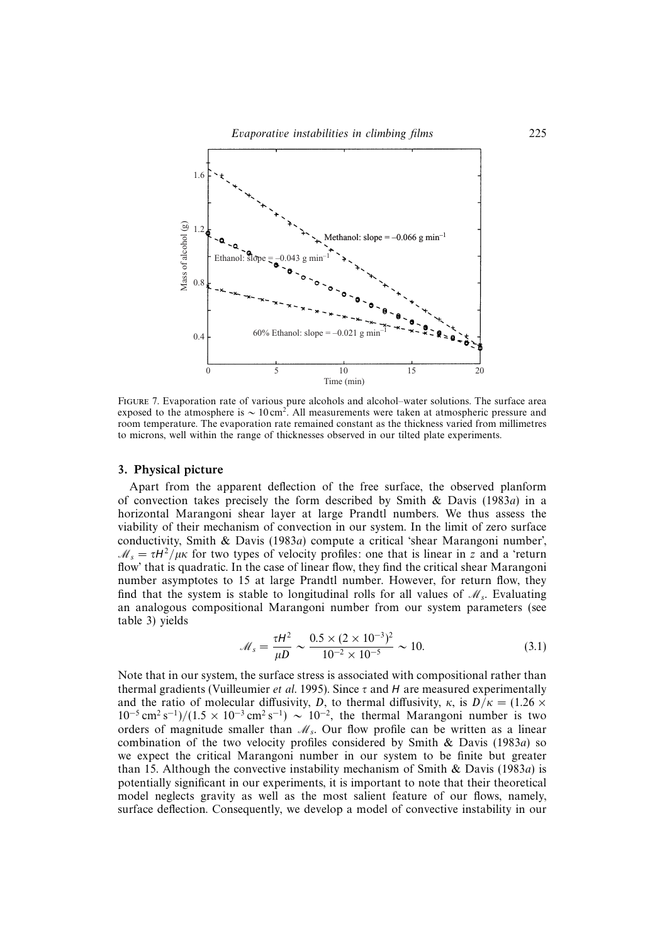

Figure 7. Evaporation rate of various pure alcohols and alcohol–water solutions. The surface area exposed to the atmosphere is  $\sim 10 \text{ cm}^2$ . All measurements were taken at atmospheric pressure and room temperature. The evaporation rate remained constant as the thickness varied from millimetres to microns, well within the range of thicknesses observed in our tilted plate experiments.

## 3. Physical picture

Apart from the apparent deflection of the free surface, the observed planform of convection takes precisely the form described by Smith & Davis (1983*a*) in a horizontal Marangoni shear layer at large Prandtl numbers. We thus assess the viability of their mechanism of convection in our system. In the limit of zero surface conductivity, Smith & Davis (1983a) compute a critical 'shear Marangoni number',  $M_s = \tau H^2/\mu\kappa$  for two types of velocity profiles: one that is linear in z and a 'return flow' that is quadratic. In the case of linear flow, they find the critical shear Marangoni number asymptotes to 15 at large Prandtl number. However, for return flow, they find that the system is stable to longitudinal rolls for all values of  $\mathcal{M}_s$ . Evaluating an analogous compositional Marangoni number from our system parameters (see table 3) yields

$$
\mathcal{M}_s = \frac{\tau H^2}{\mu D} \sim \frac{0.5 \times (2 \times 10^{-3})^2}{10^{-2} \times 10^{-5}} \sim 10.
$$
 (3.1)

Note that in our system, the surface stress is associated with compositional rather than thermal gradients (Vuilleumier et al. 1995). Since  $\tau$  and H are measured experimentally and the ratio of molecular diffusivity, D, to thermal diffusivity,  $\kappa$ , is  $D/\kappa = (1.26 \times$  $10^{-5}$  cm<sup>2</sup> s<sup>-1</sup>)/(1.5 × 10<sup>-3</sup> cm<sup>2</sup> s<sup>-1</sup>) ~ 10<sup>-2</sup>, the thermal Marangoni number is two orders of magnitude smaller than  $\mathcal{M}_s$ . Our flow profile can be written as a linear combination of the two velocity profiles considered by Smith & Davis (1983a) so we expect the critical Marangoni number in our system to be finite but greater than 15. Although the convective instability mechanism of Smith & Davis (1983*a*) is potentially significant in our experiments, it is important to note that their theoretical model neglects gravity as well as the most salient feature of our flows, namely, surface deflection. Consequently, we develop a model of convective instability in our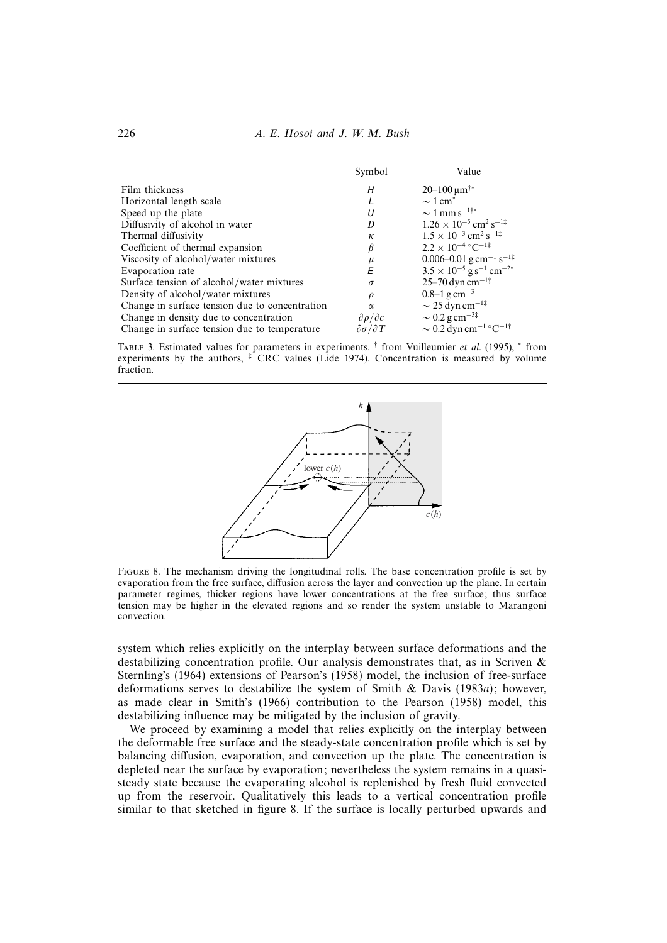|                                                | Symbol                         | Value                                                    |
|------------------------------------------------|--------------------------------|----------------------------------------------------------|
| Film thickness                                 | Н                              | $20 - 100 \mu m^{\dagger *}$                             |
| Horizontal length scale                        |                                | $\sim 1 \text{ cm}^*$                                    |
| Speed up the plate                             | U                              | $\sim 1 \,\rm mm\,s^{-1}$ <sup>†*</sup>                  |
| Diffusivity of alcohol in water                | D                              | $1.26 \times 10^{-5}$ cm <sup>2</sup> s <sup>-1‡</sup>   |
| Thermal diffusivity                            | $\kappa$                       | $1.5 \times 10^{-3}$ cm <sup>2</sup> s <sup>-1‡</sup>    |
| Coefficient of thermal expansion               | β                              | $2.2 \times 10^{-4}$ °C <sup>-1‡</sup>                   |
| Viscosity of alcohol/water mixtures            | $\mu$                          | 0.006–0.01 g cm <sup>-1</sup> s <sup>-1‡</sup>           |
| Evaporation rate                               | E                              | $3.5 \times 10^{-5}$ g s <sup>-1</sup> cm <sup>-2*</sup> |
| Surface tension of alcohol/water mixtures      | $\sigma$                       | $25 - 70$ dyn cm <sup>-1‡</sup>                          |
| Density of alcohol/water mixtures              | $\rho$                         | $0.8-1$ g cm <sup>-3</sup>                               |
| Change in surface tension due to concentration | $\alpha$                       | $\sim 25 \,\mathrm{dyn\,cm^{-1}}$                        |
| Change in density due to concentration         | $\partial \rho / \partial c$   | $\sim 0.2$ g cm <sup>-3‡</sup>                           |
| Change in surface tension due to temperature   | $\partial \sigma / \partial T$ | $\sim 0.2 \,\rm dyn \, cm^{-1} \, ^\circ C^{-1\ddagger}$ |

Table 3. Estimated values for parameters in experiments. † from Vuilleumier et al. (1995), <sup>∗</sup> from experiments by the authors,  $\frac{1}{x}$  CRC values (Lide 1974). Concentration is measured by volume fraction.



Figure 8. The mechanism driving the longitudinal rolls. The base concentration profile is set by evaporation from the free surface, diffusion across the layer and convection up the plane. In certain parameter regimes, thicker regions have lower concentrations at the free surface; thus surface tension may be higher in the elevated regions and so render the system unstable to Marangoni convection.

system which relies explicitly on the interplay between surface deformations and the destabilizing concentration profile. Our analysis demonstrates that, as in Scriven & Sternling's (1964) extensions of Pearson's (1958) model, the inclusion of free-surface deformations serves to destabilize the system of Smith & Davis (1983a); however, as made clear in Smith's (1966) contribution to the Pearson (1958) model, this destabilizing influence may be mitigated by the inclusion of gravity.

We proceed by examining a model that relies explicitly on the interplay between the deformable free surface and the steady-state concentration profile which is set by balancing diffusion, evaporation, and convection up the plate. The concentration is depleted near the surface by evaporation; nevertheless the system remains in a quasisteady state because the evaporating alcohol is replenished by fresh fluid convected up from the reservoir. Qualitatively this leads to a vertical concentration profile similar to that sketched in figure 8. If the surface is locally perturbed upwards and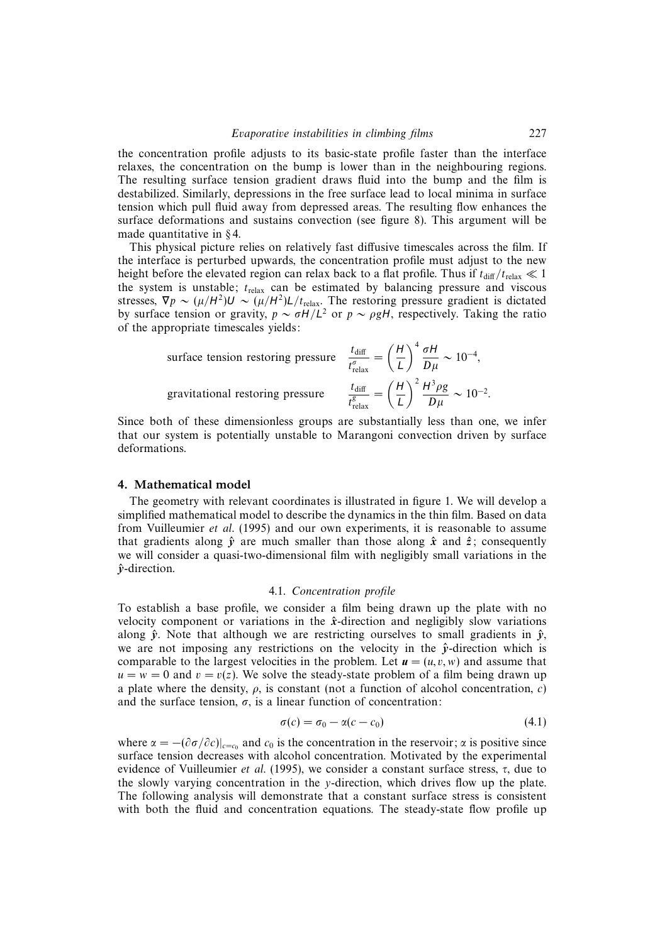the concentration profile adjusts to its basic-state profile faster than the interface relaxes, the concentration on the bump is lower than in the neighbouring regions. The resulting surface tension gradient draws fluid into the bump and the film is destabilized. Similarly, depressions in the free surface lead to local minima in surface tension which pull fluid away from depressed areas. The resulting flow enhances the surface deformations and sustains convection (see figure 8). This argument will be made quantitative in § 4.

This physical picture relies on relatively fast diffusive timescales across the film. If the interface is perturbed upwards, the concentration profile must adjust to the new height before the elevated region can relax back to a flat profile. Thus if  $t_{diff}/t_{relax} \ll 1$ the system is unstable;  $t_{\text{relax}}$  can be estimated by balancing pressure and viscous stresses,  $\nabla p \sim (\mu/H^2)U \sim (\mu/H^2)L/t_{\text{relax}}$ . The restoring pressure gradient is dictated by surface tension or gravity,  $p \sim \sigma H/L^2$  or  $p \sim \rho g H$ , respectively. Taking the ratio of the appropriate timescales yields:

surface tension restoring pressure 
$$
\frac{t_{\text{diff}}}{t_{\text{relax}}^{\sigma}} = \left(\frac{H}{L}\right)^4 \frac{\sigma H}{D\mu} \sim 10^{-4},
$$
  
gravitational restoring pressure  $\frac{t_{\text{diff}}}{t_{\text{relax}}^g} = \left(\frac{H}{L}\right)^2 \frac{H^3 \rho g}{D\mu} \sim 10^{-2}.$ 

Since both of these dimensionless groups are substantially less than one, we infer that our system is potentially unstable to Marangoni convection driven by surface deformations.

# 4. Mathematical model

The geometry with relevant coordinates is illustrated in figure 1. We will develop a simplified mathematical model to describe the dynamics in the thin film. Based on data from Vuilleumier et al. (1995) and our own experiments, it is reasonable to assume that gradients along  $\hat{y}$  are much smaller than those along  $\hat{x}$  and  $\hat{z}$ ; consequently we will consider a quasi-two-dimensional film with negligibly small variations in the *y*ˆ-direction.

# 4.1. Concentration profile

To establish a base profile, we consider a film being drawn up the plate with no velocity component or variations in the *x*ˆ-direction and negligibly slow variations along  $\hat{y}$ . Note that although we are restricting ourselves to small gradients in  $\hat{y}$ , we are not imposing any restrictions on the velocity in the  $\hat{y}$ -direction which is comparable to the largest velocities in the problem. Let  $u = (u, v, w)$  and assume that  $u = w = 0$  and  $v = v(z)$ . We solve the steady-state problem of a film being drawn up a plate where the density,  $\rho$ , is constant (not a function of alcohol concentration, c) and the surface tension,  $\sigma$ , is a linear function of concentration:

$$
\sigma(c) = \sigma_0 - \alpha(c - c_0) \tag{4.1}
$$

where  $\alpha = -(\partial \sigma/\partial c)|_{c=c_0}$  and  $c_0$  is the concentration in the reservoir;  $\alpha$  is positive since surface tension decreases with alcohol concentration. Motivated by the experimental evidence of Vuilleumier *et al.* (1995), we consider a constant surface stress,  $\tau$ , due to the slowly varying concentration in the  $\nu$ -direction, which drives flow up the plate. The following analysis will demonstrate that a constant surface stress is consistent with both the fluid and concentration equations. The steady-state flow profile up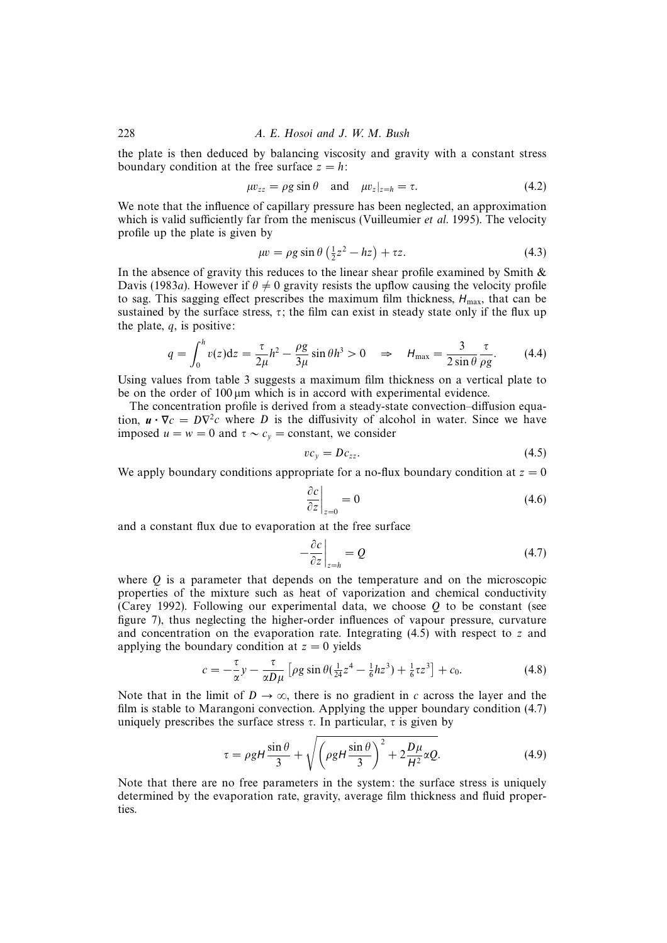the plate is then deduced by balancing viscosity and gravity with a constant stress boundary condition at the free surface  $z = h$ :

$$
\mu v_{zz} = \rho g \sin \theta \quad \text{and} \quad \mu v_z|_{z=h} = \tau. \tag{4.2}
$$

We note that the influence of capillary pressure has been neglected, an approximation which is valid sufficiently far from the meniscus (Vuilleumier  $et$  al. 1995). The velocity profile up the plate is given by

$$
\mu v = \rho g \sin \theta \left(\frac{1}{2}z^2 - h z\right) + \tau z. \tag{4.3}
$$

In the absence of gravity this reduces to the linear shear profile examined by Smith  $\&$ Davis (1983a). However if  $\theta \neq 0$  gravity resists the upflow causing the velocity profile to sag. This sagging effect prescribes the maximum film thickness,  $H_{\text{max}}$ , that can be sustained by the surface stress,  $\tau$ ; the film can exist in steady state only if the flux up the plate,  $q$ , is positive:

$$
q = \int_0^h v(z)dz = \frac{\tau}{2\mu}h^2 - \frac{\rho g}{3\mu}\sin\theta h^3 > 0 \quad \Rightarrow \quad H_{\text{max}} = \frac{3}{2\sin\theta}\frac{\tau}{\rho g}.\tag{4.4}
$$

Using values from table 3 suggests a maximum film thickness on a vertical plate to be on the order of  $100 \mu m$  which is in accord with experimental evidence.

The concentration profile is derived from a steady-state convection–diffusion equation,  $\mathbf{u} \cdot \nabla c = D \nabla^2 c$  where D is the diffusivity of alcohol in water. Since we have imposed  $u = w = 0$  and  $\tau \sim c_v =$  constant, we consider

$$
vc_{y} = Dc_{zz}.\tag{4.5}
$$

We apply boundary conditions appropriate for a no-flux boundary condition at  $z = 0$ 

$$
\left. \frac{\partial c}{\partial z} \right|_{z=0} = 0 \tag{4.6}
$$

and a constant flux due to evaporation at the free surface

$$
-\frac{\partial c}{\partial z}\Big|_{z=h} = Q \tag{4.7}
$$

where  $Q$  is a parameter that depends on the temperature and on the microscopic properties of the mixture such as heat of vaporization and chemical conductivity (Carey 1992). Following our experimental data, we choose Q to be constant (see figure 7), thus neglecting the higher-order influences of vapour pressure, curvature and concentration on the evaporation rate. Integrating  $(4.5)$  with respect to z and applying the boundary condition at  $z = 0$  yields

$$
c = -\frac{\tau}{\alpha}y - \frac{\tau}{\alpha D\mu} \left[ \rho g \sin \theta (\frac{1}{24}z^4 - \frac{1}{6}hz^3) + \frac{1}{6}\tau z^3 \right] + c_0.
$$
 (4.8)

Note that in the limit of  $D \to \infty$ , there is no gradient in c across the layer and the film is stable to Marangoni convection. Applying the upper boundary condition (4.7) uniquely prescribes the surface stress  $\tau$ . In particular,  $\tau$  is given by

$$
\tau = \rho g H \frac{\sin \theta}{3} + \sqrt{\left(\rho g H \frac{\sin \theta}{3}\right)^2 + 2 \frac{D\mu}{H^2} \alpha Q}.
$$
 (4.9)

Note that there are no free parameters in the system: the surface stress is uniquely determined by the evaporation rate, gravity, average film thickness and fluid properties.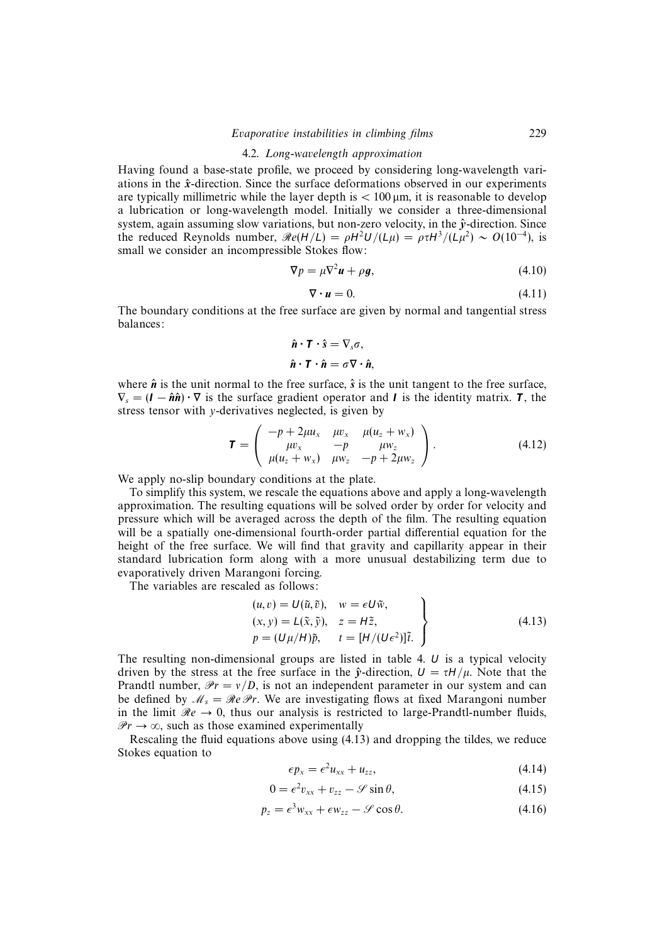#### 4.2. Long-wavelength approximation

Having found a base-state profile, we proceed by considering long-wavelength variations in the *x*ˆ-direction. Since the surface deformations observed in our experiments are typically millimetric while the layer depth is  $< 100 \mu m$ , it is reasonable to develop a lubrication or long-wavelength model. Initially we consider a three-dimensional system, again assuming slow variations, but non-zero velocity, in the  $\hat{v}$ -direction. Since the reduced Reynolds number,  $\Re e(H/L) = \rho H^2 U/(L\mu) = \rho \tau H^3/(L\mu^2) \sim O(10^{-4})$ , is small we consider an incompressible Stokes flow:

$$
\nabla p = \mu \nabla^2 \mathbf{u} + \rho \mathbf{g},\tag{4.10}
$$

$$
\nabla \cdot \mathbf{u} = 0. \tag{4.11}
$$

The boundary conditions at the free surface are given by normal and tangential stress balances:

$$
\hat{\boldsymbol{n}} \cdot \boldsymbol{T} \cdot \hat{\boldsymbol{s}} = \nabla_{\boldsymbol{s}} \sigma,
$$

$$
\hat{\boldsymbol{n}} \cdot \boldsymbol{T} \cdot \hat{\boldsymbol{n}} = \sigma \nabla \cdot \hat{\boldsymbol{n}},
$$

where  $\hat{\boldsymbol{n}}$  is the unit normal to the free surface,  $\hat{\boldsymbol{s}}$  is the unit tangent to the free surface,  $\nabla_s = (\mathbf{I} - \hat{\mathbf{n}}\hat{\mathbf{n}}) \cdot \nabla$  is the surface gradient operator and **I** is the identity matrix. **T**, the stress tensor with y-derivatives neglected, is given by

$$
\mathbf{T} = \begin{pmatrix} -p + 2\mu u_x & \mu v_x & \mu(u_z + w_x) \\ \mu v_x & -p & \mu w_z \\ \mu(u_z + w_x) & \mu w_z & -p + 2\mu w_z \end{pmatrix}.
$$
 (4.12)

We apply no-slip boundary conditions at the plate.

To simplify this system, we rescale the equations above and apply a long-wavelength approximation. The resulting equations will be solved order by order for velocity and pressure which will be averaged across the depth of the film. The resulting equation will be a spatially one-dimensional fourth-order partial differential equation for the height of the free surface. We will find that gravity and capillarity appear in their standard lubrication form along with a more unusual destabilizing term due to evaporatively driven Marangoni forcing.

The variables are rescaled as follows:

$$
(u, v) = U(\tilde{u}, \tilde{v}), \quad w = \epsilon U \tilde{w},
$$
  
\n
$$
(x, y) = L(\tilde{x}, \tilde{y}), \quad z = H\tilde{z},
$$
  
\n
$$
p = (U\mu/H)\tilde{p}, \quad t = [H/(U\epsilon^2)]\tilde{t}.
$$
\n(4.13)

The resulting non-dimensional groups are listed in table 4.  $U$  is a typical velocity driven by the stress at the free surface in the  $\hat{v}$ -direction,  $U = \tau H/\mu$ . Note that the Prandtl number,  $\mathcal{P}r = v/D$ , is not an independent parameter in our system and can be defined by  $\mathcal{M}_s = \mathcal{R}e \mathcal{P}r$ . We are investigating flows at fixed Marangoni number in the limit  $\Re e \to 0$ , thus our analysis is restricted to large-Prandtl-number fluids,  $\mathcal{P}r \to \infty$ , such as those examined experimentally

Rescaling the fluid equations above using (4.13) and dropping the tildes, we reduce Stokes equation to

$$
\epsilon p_x = \epsilon^2 u_{xx} + u_{zz}, \qquad (4.14)
$$

$$
0 = e^2 v_{xx} + v_{zz} - \mathcal{S} \sin \theta, \qquad (4.15)
$$

$$
p_z = \epsilon^3 w_{xx} + \epsilon w_{zz} - \mathcal{S} \cos \theta.
$$
 (4.16)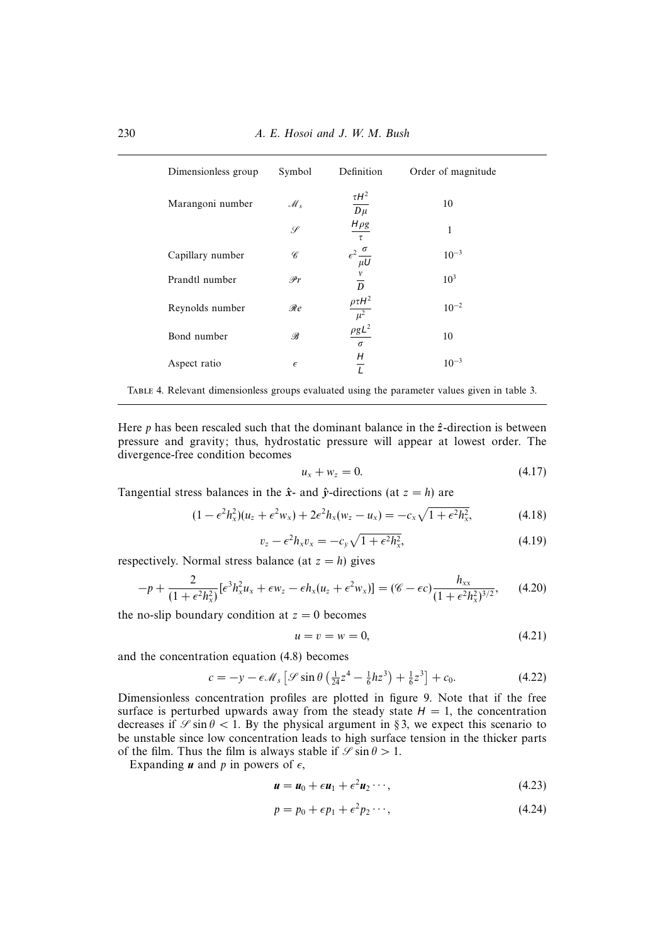| Dimensionless group | Symbol                | Definition                        | Order of magnitude |
|---------------------|-----------------------|-----------------------------------|--------------------|
| Marangoni number    | $\mathcal{M}_{\rm s}$ | $\tau H^2$<br>$\overline{D\mu}$   | 10                 |
|                     | .Ψ                    | $H\rho g$<br>$\tau$               | 1                  |
| Capillary number    | C                     | $\epsilon^2 \frac{\sigma}{\mu U}$ | $10^{-3}$          |
| Prandtl number      | Pr                    | $\frac{v}{D}$                     | 10 <sup>3</sup>    |
| Reynolds number     | Re                    | $rac{\rho \tau H^2}{\mu^2}$       | $10^{-2}$          |
| Bond number         | B                     | $\rho g L^2$<br>$\sigma$          | 10                 |
| Aspect ratio        | $\epsilon$            | Η<br>$\overline{I}$               | $10^{-3}$          |

Table 4. Relevant dimensionless groups evaluated using the parameter values given in table 3.

Here p has been rescaled such that the dominant balance in the  $\hat{z}$ -direction is between pressure and gravity; thus, hydrostatic pressure will appear at lowest order. The divergence-free condition becomes

$$
u_x + w_z = 0. \t\t(4.17)
$$

Tangential stress balances in the  $\hat{x}$ - and  $\hat{y}$ -directions (at  $z = h$ ) are

$$
(1 - \epsilon^2 h_x^2)(u_z + \epsilon^2 w_x) + 2\epsilon^2 h_x(w_z - u_x) = -c_x \sqrt{1 + \epsilon^2 h_x^2},
$$
(4.18)

$$
v_z - \epsilon^2 h_x v_x = -c_y \sqrt{1 + \epsilon^2 h_x^2},\tag{4.19}
$$

respectively. Normal stress balance (at  $z = h$ ) gives

$$
-p + \frac{2}{(1+\epsilon^2 h_x^2)} [\epsilon^3 h_x^2 u_x + \epsilon w_z - \epsilon h_x (u_z + \epsilon^2 w_x)] = (\mathscr{C} - \epsilon c) \frac{h_{xx}}{(1+\epsilon^2 h_x^2)^{3/2}},\qquad(4.20)
$$

the no-slip boundary condition at  $z = 0$  becomes

$$
u = v = w = 0,\t(4.21)
$$

and the concentration equation (4.8) becomes

$$
c = -y - \epsilon \mathcal{M}_s \left[ \mathcal{S} \sin \theta \left( \frac{1}{24} z^4 - \frac{1}{6} h z^3 \right) + \frac{1}{6} z^3 \right] + c_0. \tag{4.22}
$$

Dimensionless concentration profiles are plotted in figure 9. Note that if the free surface is perturbed upwards away from the steady state  $H = 1$ , the concentration decreases if  $\mathcal{S} \sin \theta < 1$ . By the physical argument in § 3, we expect this scenario to be unstable since low concentration leads to high surface tension in the thicker parts of the film. Thus the film is always stable if  $\mathcal{S} \sin \theta > 1$ .

Expanding  $\boldsymbol{u}$  and  $\boldsymbol{p}$  in powers of  $\epsilon$ ,

$$
\mathbf{u} = \mathbf{u}_0 + \epsilon \mathbf{u}_1 + \epsilon^2 \mathbf{u}_2 \cdots, \tag{4.23}
$$

$$
p = p_0 + \epsilon p_1 + \epsilon^2 p_2 \cdots, \tag{4.24}
$$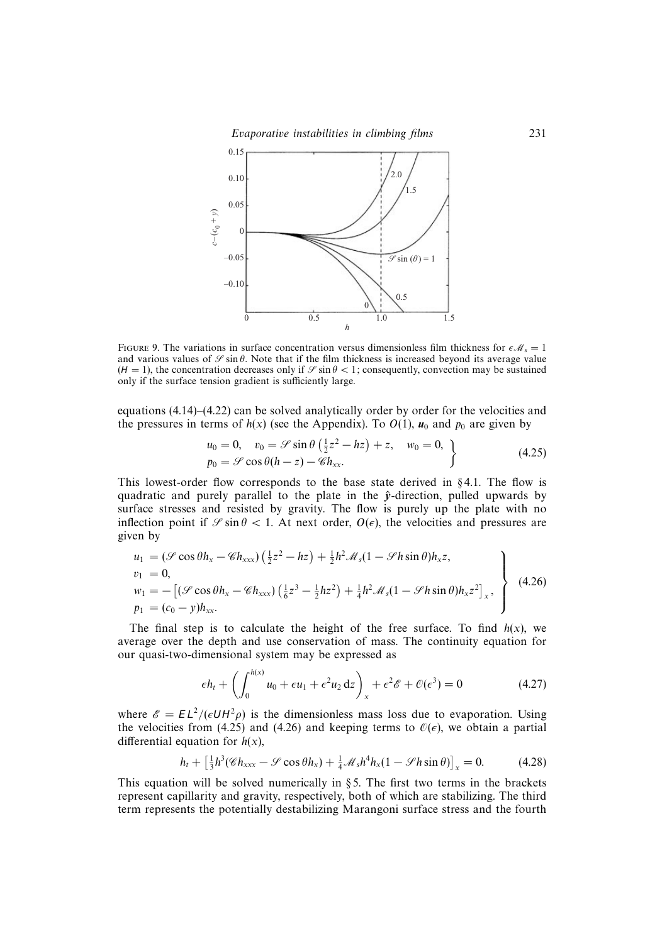Evaporative instabilities in climbing films 231



FIGURE 9. The variations in surface concentration versus dimensionless film thickness for  $\epsilon M_s = 1$ and various values of  $\mathscr{S}$  sin  $\theta$ . Note that if the film thickness is increased beyond its average value  $(H = 1)$ , the concentration decreases only if  $\mathcal{S} \sin \theta < 1$ ; consequently, convection may be sustained only if the surface tension gradient is sufficiently large.

equations (4.14)–(4.22) can be solved analytically order by order for the velocities and the pressures in terms of  $h(x)$  (see the Appendix). To  $O(1)$ ,  $u_0$  and  $p_0$  are given by

$$
\begin{aligned}\nu_0 &= 0, \quad v_0 = \mathcal{S} \sin \theta \left( \frac{1}{2} z^2 - h z \right) + z, \quad w_0 = 0, \\
p_0 &= \mathcal{S} \cos \theta (h - z) - \mathcal{C} h_{xx}.\n\end{aligned} \tag{4.25}
$$

This lowest-order flow corresponds to the base state derived in  $§4.1$ . The flow is quadratic and purely parallel to the plate in the  $\hat{y}$ -direction, pulled upwards by surface stresses and resisted by gravity. The flow is purely up the plate with no inflection point if  $\mathcal{S} \sin \theta < 1$ . At next order,  $O(\epsilon)$ , the velocities and pressures are given by

$$
u_1 = (\mathcal{S} \cos \theta h_x - \mathcal{C} h_{xxx}) \left( \frac{1}{2} z^2 - h z \right) + \frac{1}{2} h^2 \mathcal{M}_s (1 - \mathcal{S} h \sin \theta) h_x z,
$$
  
\n
$$
v_1 = 0,
$$
  
\n
$$
w_1 = - \left[ (\mathcal{S} \cos \theta h_x - \mathcal{C} h_{xxx}) \left( \frac{1}{6} z^3 - \frac{1}{2} h z^2 \right) + \frac{1}{4} h^2 \mathcal{M}_s (1 - \mathcal{S} h \sin \theta) h_x z^2 \right]_x,
$$
  
\n
$$
p_1 = (c_0 - y) h_{xx}.
$$
\n(4.26)

The final step is to calculate the height of the free surface. To find  $h(x)$ , we average over the depth and use conservation of mass. The continuity equation for our quasi-two-dimensional system may be expressed as

$$
\epsilon h_t + \left( \int_0^{h(x)} u_0 + \epsilon u_1 + \epsilon^2 u_2 \, \mathrm{d}z \right)_x + \epsilon^2 \mathscr{E} + \mathscr{O}(\epsilon^3) = 0 \tag{4.27}
$$

where  $\mathscr{E} = EL^2/(\epsilon U H^2 \rho)$  is the dimensionless mass loss due to evaporation. Using the velocities from (4.25) and (4.26) and keeping terms to  $\mathcal{O}(\epsilon)$ , we obtain a partial differential equation for  $h(x)$ ,

$$
h_t + \left[\frac{1}{3}h^3(\mathscr{C}h_{xxx} - \mathscr{S}\cos\theta h_x) + \frac{1}{4}\mathscr{M}_s h^4 h_x (1 - \mathscr{S}h\sin\theta)\right]_x = 0.
$$
 (4.28)

This equation will be solved numerically in  $\S 5$ . The first two terms in the brackets represent capillarity and gravity, respectively, both of which are stabilizing. The third term represents the potentially destabilizing Marangoni surface stress and the fourth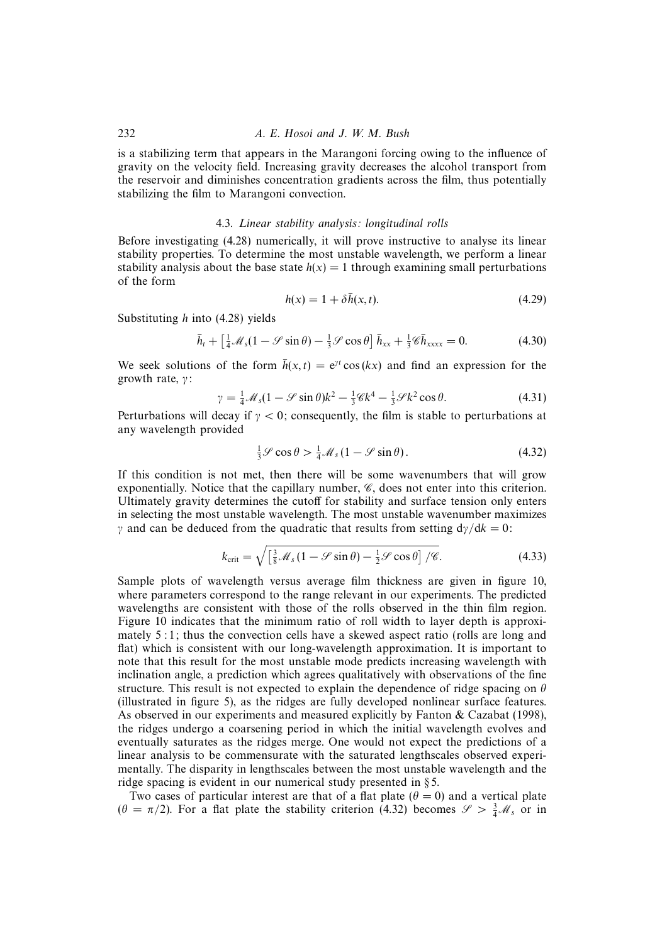is a stabilizing term that appears in the Marangoni forcing owing to the influence of gravity on the velocity field. Increasing gravity decreases the alcohol transport from the reservoir and diminishes concentration gradients across the film, thus potentially stabilizing the film to Marangoni convection.

# 4.3. Linear stability analysis: longitudinal rolls

Before investigating (4.28) numerically, it will prove instructive to analyse its linear stability properties. To determine the most unstable wavelength, we perform a linear stability analysis about the base state  $h(x) = 1$  through examining small perturbations of the form

$$
h(x) = 1 + \delta \bar{h}(x, t). \tag{4.29}
$$

Substituting  $h$  into (4.28) yields

$$
\bar{h}_t + \left[\frac{1}{4}\mathcal{M}_s(1-\mathcal{S}\sin\theta) - \frac{1}{3}\mathcal{S}\cos\theta\right]\bar{h}_{xx} + \frac{1}{3}\mathcal{C}\bar{h}_{xxxx} = 0. \tag{4.30}
$$

We seek solutions of the form  $\bar{h}(x, t)=e^{\gamma t}\cos (kx)$  and find an expression for the growth rate, γ:

$$
\gamma = \frac{1}{4}\mathcal{M}_s(1 - \mathcal{S}\sin\theta)k^2 - \frac{1}{3}\mathcal{C}k^4 - \frac{1}{3}\mathcal{S}k^2\cos\theta.
$$
 (4.31)

Perturbations will decay if  $\gamma < 0$ ; consequently, the film is stable to perturbations at any wavelength provided

$$
\frac{1}{3}\mathcal{S}\cos\theta > \frac{1}{4}\mathcal{M}_s(1-\mathcal{S}\sin\theta). \tag{4.32}
$$

If this condition is not met, then there will be some wavenumbers that will grow exponentially. Notice that the capillary number,  $\mathcal{C}$ , does not enter into this criterion. Ultimately gravity determines the cutoff for stability and surface tension only enters in selecting the most unstable wavelength. The most unstable wavenumber maximizes γ and can be deduced from the quadratic that results from setting  $dγ/dk = 0$ :

$$
k_{\rm crit} = \sqrt{\left[\frac{3}{8} \mathcal{M}_s (1 - \mathcal{S} \sin \theta) - \frac{1}{2} \mathcal{S} \cos \theta\right] / \mathcal{C}}.
$$
 (4.33)

Sample plots of wavelength versus average film thickness are given in figure 10, where parameters correspond to the range relevant in our experiments. The predicted wavelengths are consistent with those of the rolls observed in the thin film region. Figure 10 indicates that the minimum ratio of roll width to layer depth is approximately  $5:1$ ; thus the convection cells have a skewed aspect ratio (rolls are long and flat) which is consistent with our long-wavelength approximation. It is important to note that this result for the most unstable mode predicts increasing wavelength with inclination angle, a prediction which agrees qualitatively with observations of the fine structure. This result is not expected to explain the dependence of ridge spacing on  $\theta$ (illustrated in figure 5), as the ridges are fully developed nonlinear surface features. As observed in our experiments and measured explicitly by Fanton & Cazabat (1998), the ridges undergo a coarsening period in which the initial wavelength evolves and eventually saturates as the ridges merge. One would not expect the predictions of a linear analysis to be commensurate with the saturated lengthscales observed experimentally. The disparity in lengthscales between the most unstable wavelength and the ridge spacing is evident in our numerical study presented in § 5.

Two cases of particular interest are that of a flat plate ( $\theta = 0$ ) and a vertical plate  $(\theta = \pi/2)$ . For a flat plate the stability criterion (4.32) becomes  $\mathscr{S} > \frac{3}{4} \mathscr{M}_s$  or in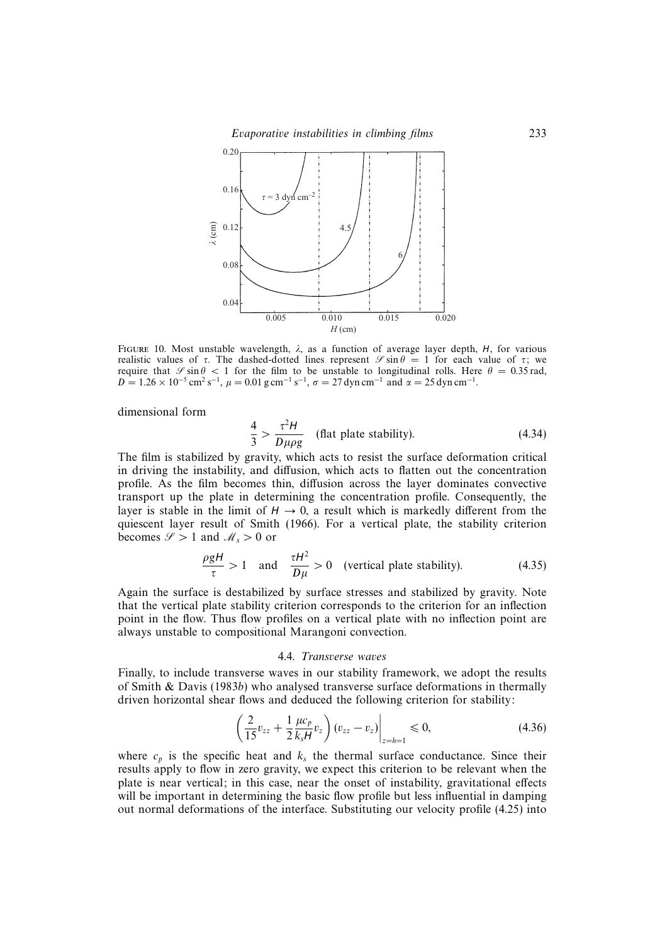Evaporative instabilities in climbing films 233



FIGURE 10. Most unstable wavelength,  $\lambda$ , as a function of average layer depth, H, for various realistic values of τ. The dashed-dotted lines represent  $\mathscr{S} \sin \theta = 1$  for each value of τ; we require that  $\mathscr{S} \sin \theta < 1$  for the film to be unstable to longitudinal rolls. Here  $\theta = 0.35$  rad,  $D = 1.26 \times 10^{-5} \text{ cm}^2 \text{ s}^{-1}$ ,  $\mu = 0.01 \text{ g cm}^{-1} \text{ s}^{-1}$ ,  $\sigma = 27 \text{ dyn cm}^{-1}$  and  $\alpha = 25 \text{ dyn cm}^{-1}$ .

dimensional form

$$
\frac{4}{3} > \frac{\tau^2 H}{D\mu \rho g}
$$
 (flat plate stability). (4.34)

The film is stabilized by gravity, which acts to resist the surface deformation critical in driving the instability, and diffusion, which acts to flatten out the concentration profile. As the film becomes thin, diffusion across the layer dominates convective transport up the plate in determining the concentration profile. Consequently, the layer is stable in the limit of  $H \rightarrow 0$ , a result which is markedly different from the quiescent layer result of Smith (1966). For a vertical plate, the stability criterion becomes  $\mathcal{S} > 1$  and  $\mathcal{M}_s > 0$  or

$$
\frac{\rho g H}{\tau} > 1 \quad \text{and} \quad \frac{\tau H^2}{D\mu} > 0 \quad \text{(vertical plate stability)}.
$$
 (4.35)

Again the surface is destabilized by surface stresses and stabilized by gravity. Note that the vertical plate stability criterion corresponds to the criterion for an inflection point in the flow. Thus flow profiles on a vertical plate with no inflection point are always unstable to compositional Marangoni convection.

#### 4.4. Transverse waves

Finally, to include transverse waves in our stability framework, we adopt the results of Smith & Davis (1983b) who analysed transverse surface deformations in thermally driven horizontal shear flows and deduced the following criterion for stability:

$$
\left(\frac{2}{15}v_{zz} + \frac{1}{2}\frac{\mu c_p}{k_s H}v_z\right)(v_{zz} - v_z)\bigg|_{z=h=1} \leq 0,
$$
\n(4.36)

where  $c_p$  is the specific heat and  $k_s$  the thermal surface conductance. Since their results apply to flow in zero gravity, we expect this criterion to be relevant when the plate is near vertical; in this case, near the onset of instability, gravitational effects will be important in determining the basic flow profile but less influential in damping out normal deformations of the interface. Substituting our velocity profile (4.25) into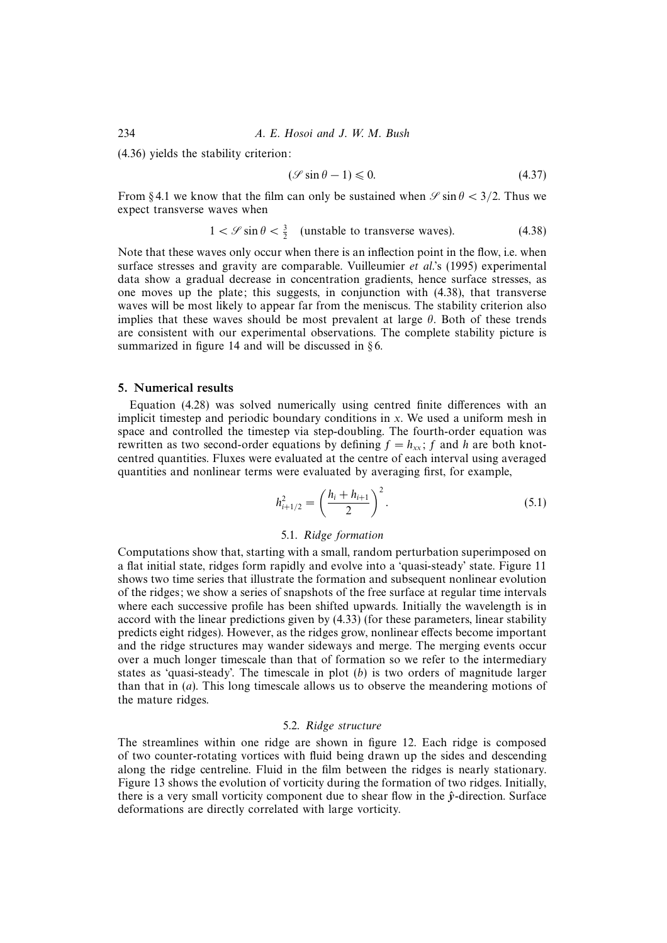(4.36) yields the stability criterion:

$$
(\mathcal{S}\sin\theta - 1) \leq 0. \tag{4.37}
$$

From §4.1 we know that the film can only be sustained when  $\mathcal{S} \sin \theta < 3/2$ . Thus we expect transverse waves when

$$
1 < \mathcal{S} \sin \theta < \frac{3}{2} \quad \text{(unstable to transverse waves)}.\tag{4.38}
$$

Note that these waves only occur when there is an inflection point in the flow, i.e. when surface stresses and gravity are comparable. Vuilleumier et al.'s (1995) experimental data show a gradual decrease in concentration gradients, hence surface stresses, as one moves up the plate; this suggests, in conjunction with (4.38), that transverse waves will be most likely to appear far from the meniscus. The stability criterion also implies that these waves should be most prevalent at large  $\theta$ . Both of these trends are consistent with our experimental observations. The complete stability picture is summarized in figure 14 and will be discussed in § 6.

## 5. Numerical results

Equation (4.28) was solved numerically using centred finite differences with an implicit timestep and periodic boundary conditions in x. We used a uniform mesh in space and controlled the timestep via step-doubling. The fourth-order equation was rewritten as two second-order equations by defining  $f = h_{xx}$ ; f and h are both knotcentred quantities. Fluxes were evaluated at the centre of each interval using averaged quantities and nonlinear terms were evaluated by averaging first, for example,

$$
h_{i+1/2}^2 = \left(\frac{h_i + h_{i+1}}{2}\right)^2.
$$
 (5.1)

#### 5.1. Ridge formation

Computations show that, starting with a small, random perturbation superimposed on a flat initial state, ridges form rapidly and evolve into a 'quasi-steady' state. Figure 11 shows two time series that illustrate the formation and subsequent nonlinear evolution of the ridges; we show a series of snapshots of the free surface at regular time intervals where each successive profile has been shifted upwards. Initially the wavelength is in accord with the linear predictions given by (4.33) (for these parameters, linear stability predicts eight ridges). However, as the ridges grow, nonlinear effects become important and the ridge structures may wander sideways and merge. The merging events occur over a much longer timescale than that of formation so we refer to the intermediary states as 'quasi-steady'. The timescale in plot  $(b)$  is two orders of magnitude larger than that in  $(a)$ . This long timescale allows us to observe the meandering motions of the mature ridges.

#### 5.2. Ridge structure

The streamlines within one ridge are shown in figure 12. Each ridge is composed of two counter-rotating vortices with fluid being drawn up the sides and descending along the ridge centreline. Fluid in the film between the ridges is nearly stationary. Figure 13 shows the evolution of vorticity during the formation of two ridges. Initially, there is a very small vorticity component due to shear flow in the  $\hat{y}$ -direction. Surface deformations are directly correlated with large vorticity.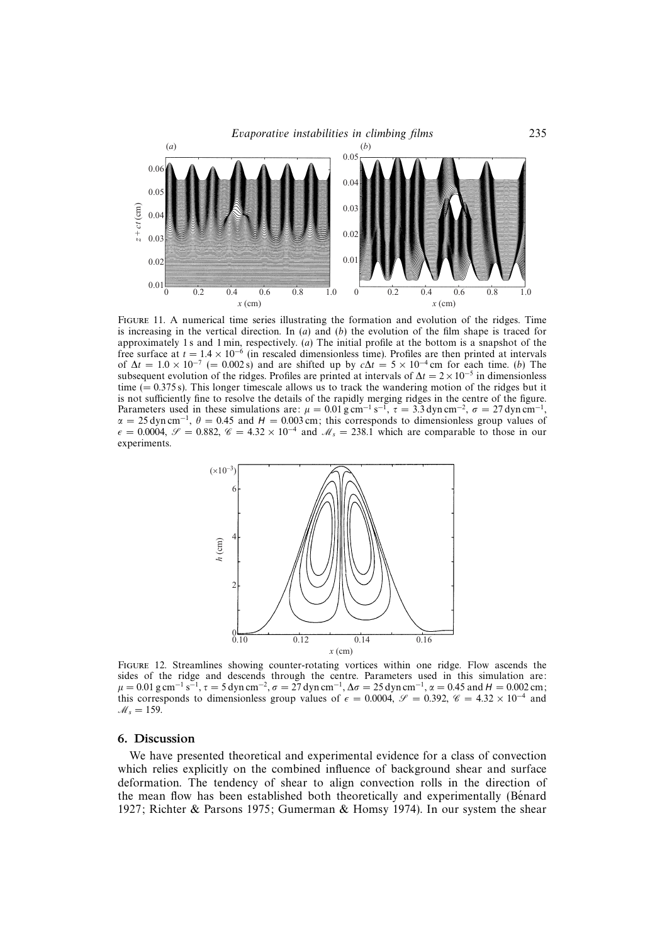

Figure 11. A numerical time series illustrating the formation and evolution of the ridges. Time is increasing in the vertical direction. In  $(a)$  and  $(b)$  the evolution of the film shape is traced for approximately 1 s and 1 min, respectively. (a) The initial profile at the bottom is a snapshot of the free surface at  $t = 1.4 \times 10^{-6}$  (in rescaled dimensionless time). Profiles are then printed at intervals of  $\Delta t = 1.0 \times 10^{-7}$  (= 0.002 s) and are shifted up by  $c\Delta t = 5 \times 10^{-4}$  cm for each time. (b) The subsequent evolution of the ridges. Profiles are printed at intervals of  $\Delta t = 2 \times 10^{-5}$  in dimensionless time (= 0.375 s). This longer timescale allows us to track the wandering motion of the ridges but it is not sufficiently fine to resolve the details of the rapidly merging ridges in the centre of the figure. Parameters used in these simulations are:  $\mu = 0.01$  g cm<sup>-1</sup> s<sup>-1</sup>,  $\tau = 3.3$  dyn cm<sup>-2</sup>,  $\sigma = 27$  dyn cm<sup>-1</sup>  $\alpha = 25$  dyn cm<sup>-1</sup>,  $\theta = 0.45$  and  $H = 0.003$  cm; this corresponds to dimensionless group values of  $\epsilon = 0.0004$ ,  $\mathscr{S} = 0.882$ ,  $\mathscr{C} = 4.32 \times 10^{-4}$  and  $\mathscr{M}_s = 238.1$  which are comparable to those in our experiments.



Figure 12. Streamlines showing counter-rotating vortices within one ridge. Flow ascends the sides of the ridge and descends through the centre. Parameters used in this simulation are:  $\mu = 0.01$  g cm<sup>-1</sup> s<sup>-1</sup>,  $\tau = 5$  dyn cm<sup>-2</sup>,  $\sigma = 27$  dyn cm<sup>-1</sup>,  $\Delta \sigma = 25$  dyn cm<sup>-1</sup>,  $\alpha = 0.45$  and  $H = 0.002$  cm; this corresponds to dimensionless group values of  $\epsilon = 0.0004$ ,  $\mathscr{S} = 0.392$ ,  $\mathscr{C} = 4.32 \times 10^{-4}$  and  $M_s = 159$ .

#### 6. Discussion

We have presented theoretical and experimental evidence for a class of convection which relies explicitly on the combined influence of background shear and surface deformation. The tendency of shear to align convection rolls in the direction of the mean flow has been established both theoretically and experimentally (Bénard 1927; Richter & Parsons 1975; Gumerman & Homsy 1974). In our system the shear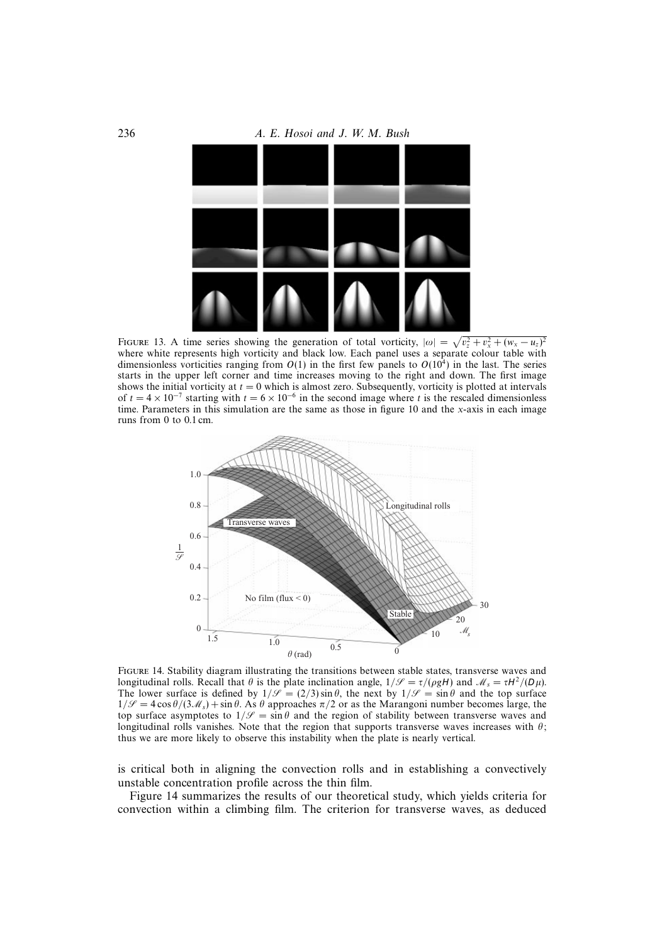

FIGURE 13. A time series showing the generation of total vorticity,  $|\omega| = \sqrt{v_z^2 + v_x^2 + (w_x - u_z)^2}$ where white represents high vorticity and black low. Each panel uses a separate colour table with dimensionless vorticities ranging from  $O(1)$  in the first few panels to  $O(10^4)$  in the last. The series starts in the upper left corner and time increases moving to the right and down. The first image shows the initial vorticity at  $t = 0$  which is almost zero. Subsequently, vorticity is plotted at intervals of  $t = 4 \times 10^{-7}$  starting with  $t = 6 \times 10^{-6}$  in the second image where t is the rescaled dimensionless time. Parameters in this simulation are the same as those in figure 10 and the x-axis in each image runs from 0 to 0.1 cm.



Figure 14. Stability diagram illustrating the transitions between stable states, transverse waves and longitudinal rolls. Recall that  $\theta$  is the plate inclination angle,  $1/\mathscr{S} = \tau/(\rho g H)$  and  $\mathscr{M}_s = \tau H^2/(\rho \mu)$ . The lower surface is defined by  $1/\mathscr{S} = (2/3) \sin \theta$ , the next by  $1/\mathscr{S} = \sin \theta$  and the top surface  $1/\mathscr{S} = 4 \cos \theta / (3 \mathscr{M}_s) + \sin \theta$ . As  $\theta$  approaches  $\pi/2$  or as the Marangoni number becomes large, the top surface asymptotes to  $1/\mathscr{S} = \sin \theta$  and the region of stability between transverse waves and longitudinal rolls vanishes. Note that the region that supports transverse waves increases with  $\theta$ ; thus we are more likely to observe this instability when the plate is nearly vertical.

is critical both in aligning the convection rolls and in establishing a convectively unstable concentration profile across the thin film.

Figure 14 summarizes the results of our theoretical study, which yields criteria for convection within a climbing film. The criterion for transverse waves, as deduced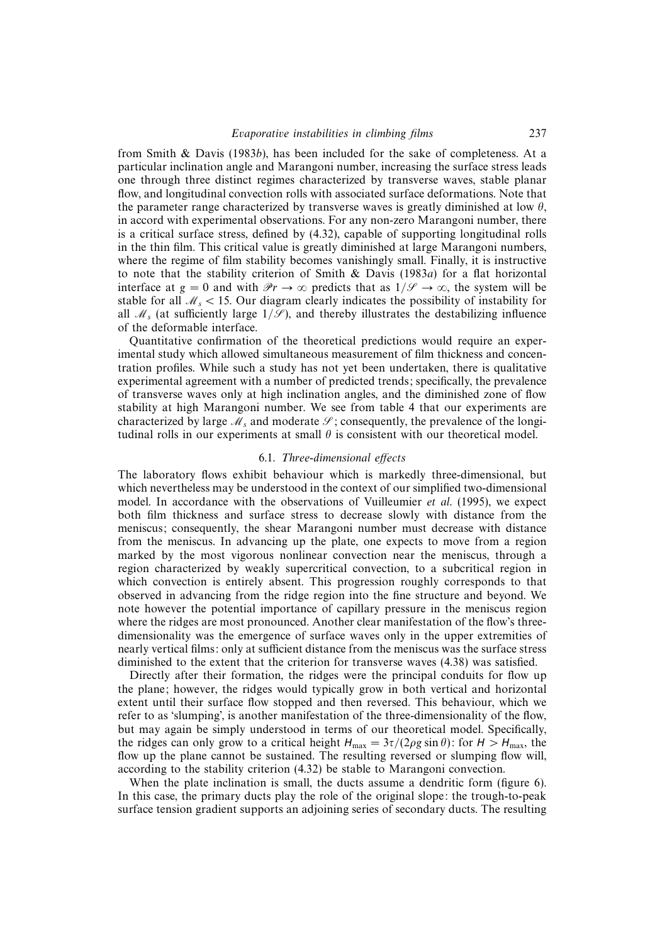from Smith & Davis (1983b), has been included for the sake of completeness. At a particular inclination angle and Marangoni number, increasing the surface stress leads one through three distinct regimes characterized by transverse waves, stable planar flow, and longitudinal convection rolls with associated surface deformations. Note that the parameter range characterized by transverse waves is greatly diminished at low  $\theta$ , in accord with experimental observations. For any non-zero Marangoni number, there is a critical surface stress, defined by (4.32), capable of supporting longitudinal rolls in the thin film. This critical value is greatly diminished at large Marangoni numbers, where the regime of film stability becomes vanishingly small. Finally, it is instructive to note that the stability criterion of Smith  $\&$  Davis (1983a) for a flat horizontal interface at  $g = 0$  and with  $\mathcal{P}r \to \infty$  predicts that as  $1/\mathcal{S} \to \infty$ , the system will be stable for all  $\mathcal{M}_s$  < 15. Our diagram clearly indicates the possibility of instability for all  $\mathcal{M}_s$  (at sufficiently large  $1/\mathcal{S}$ ), and thereby illustrates the destabilizing influence of the deformable interface.

Quantitative confirmation of the theoretical predictions would require an experimental study which allowed simultaneous measurement of film thickness and concentration profiles. While such a study has not yet been undertaken, there is qualitative experimental agreement with a number of predicted trends; specifically, the prevalence of transverse waves only at high inclination angles, and the diminished zone of flow stability at high Marangoni number. We see from table 4 that our experiments are characterized by large  $\mathcal{M}_s$  and moderate  $\mathcal{S}$ ; consequently, the prevalence of the longitudinal rolls in our experiments at small  $\theta$  is consistent with our theoretical model.

#### 6.1. Three-dimensional effects

The laboratory flows exhibit behaviour which is markedly three-dimensional, but which nevertheless may be understood in the context of our simplified two-dimensional model. In accordance with the observations of Vuilleumier *et al.* (1995), we expect both film thickness and surface stress to decrease slowly with distance from the meniscus; consequently, the shear Marangoni number must decrease with distance from the meniscus. In advancing up the plate, one expects to move from a region marked by the most vigorous nonlinear convection near the meniscus, through a region characterized by weakly supercritical convection, to a subcritical region in which convection is entirely absent. This progression roughly corresponds to that observed in advancing from the ridge region into the fine structure and beyond. We note however the potential importance of capillary pressure in the meniscus region where the ridges are most pronounced. Another clear manifestation of the flow's threedimensionality was the emergence of surface waves only in the upper extremities of nearly vertical films: only at sufficient distance from the meniscus was the surface stress diminished to the extent that the criterion for transverse waves (4.38) was satisfied.

Directly after their formation, the ridges were the principal conduits for flow up the plane; however, the ridges would typically grow in both vertical and horizontal extent until their surface flow stopped and then reversed. This behaviour, which we refer to as 'slumping', is another manifestation of the three-dimensionality of the flow, but may again be simply understood in terms of our theoretical model. Specifically, the ridges can only grow to a critical height  $H_{\text{max}} = 3\tau/(2\rho g \sin \theta)$ : for  $H > H_{\text{max}}$ , the flow up the plane cannot be sustained. The resulting reversed or slumping flow will, according to the stability criterion (4.32) be stable to Marangoni convection.

When the plate inclination is small, the ducts assume a dendritic form (figure 6). In this case, the primary ducts play the role of the original slope: the trough-to-peak surface tension gradient supports an adjoining series of secondary ducts. The resulting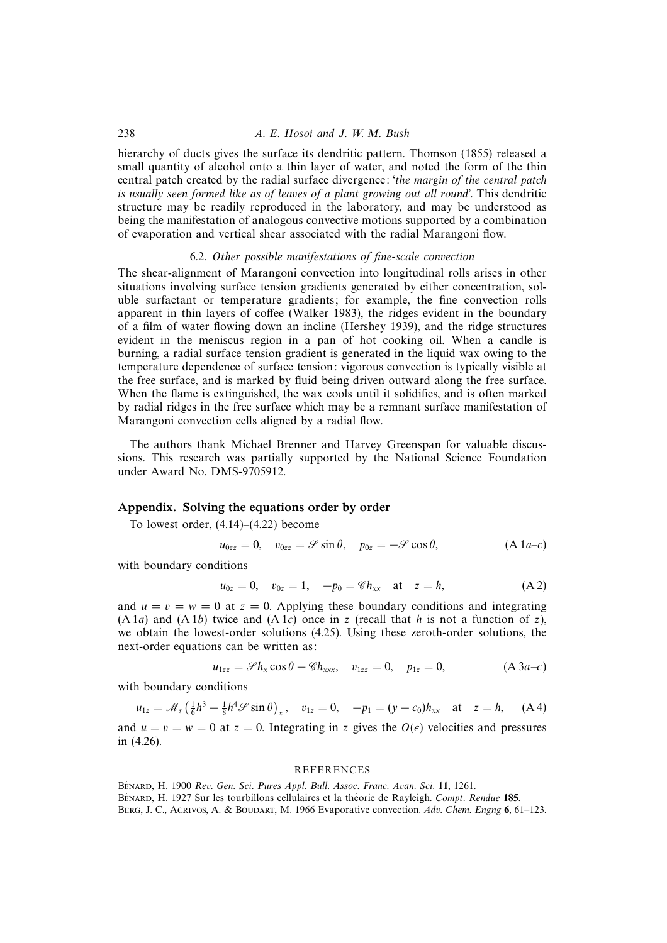# 238 A. E. Hosoi and J. W. M. Bush

hierarchy of ducts gives the surface its dendritic pattern. Thomson (1855) released a small quantity of alcohol onto a thin layer of water, and noted the form of the thin central patch created by the radial surface divergence: 'the margin of the central patch is usually seen formed like as of leaves of a plant growing out all round'. This dendritic structure may be readily reproduced in the laboratory, and may be understood as being the manifestation of analogous convective motions supported by a combination of evaporation and vertical shear associated with the radial Marangoni flow.

#### 6.2. Other possible manifestations of fine-scale convection

The shear-alignment of Marangoni convection into longitudinal rolls arises in other situations involving surface tension gradients generated by either concentration, soluble surfactant or temperature gradients; for example, the fine convection rolls apparent in thin layers of coffee (Walker 1983), the ridges evident in the boundary of a film of water flowing down an incline (Hershey 1939), and the ridge structures evident in the meniscus region in a pan of hot cooking oil. When a candle is burning, a radial surface tension gradient is generated in the liquid wax owing to the temperature dependence of surface tension: vigorous convection is typically visible at the free surface, and is marked by fluid being driven outward along the free surface. When the flame is extinguished, the wax cools until it solidifies, and is often marked by radial ridges in the free surface which may be a remnant surface manifestation of Marangoni convection cells aligned by a radial flow.

The authors thank Michael Brenner and Harvey Greenspan for valuable discussions. This research was partially supported by the National Science Foundation under Award No. DMS-9705912.

#### Appendix. Solving the equations order by order

To lowest order, (4.14)–(4.22) become

$$
u_{0zz} = 0, \quad v_{0zz} = \mathcal{S} \sin \theta, \quad p_{0z} = -\mathcal{S} \cos \theta,
$$
 (A 1*a*-*c*)

with boundary conditions

$$
u_{0z} = 0
$$
,  $v_{0z} = 1$ ,  $-p_0 = \mathscr{C}h_{xx}$  at  $z = h$ , (A2)

and  $u = v = w = 0$  at  $z = 0$ . Applying these boundary conditions and integrating  $(A 1a)$  and  $(A 1b)$  twice and  $(A 1c)$  once in z (recall that h is not a function of z), we obtain the lowest-order solutions (4.25). Using these zeroth-order solutions, the next-order equations can be written as:

$$
u_{1zz} = \mathcal{S}h_x \cos \theta - \mathcal{C}h_{xxx}, \quad v_{1zz} = 0, \quad p_{1z} = 0,
$$
 (A 3*a*-*c*)

with boundary conditions

 $u_{1z} = M_s \left(\frac{1}{6}h^3 - \frac{1}{8}h^4 \mathcal{S} \sin \theta\right)_x$ ,  $v_{1z} = 0$ ,  $-p_1 = (y - c_0)h_{xx}$  at  $z = h$ , (A 4)

and  $u = v = w = 0$  at  $z = 0$ . Integrating in z gives the  $O(\epsilon)$  velocities and pressures in (4.26).

#### **REFERENCES**

BÉNARD, H. <sup>1900</sup> Rev. Gen. Sci. Pures Appl. Bull. Assoc. Franc. Avan. Sci. 11, 1261. Bénard, H. 1927 Sur les tourbillons cellulaires et la théorie de Rayleigh. Compt. Rendue 185. Berg, J. C., Acrivos, A. & Boudart, M. 1966 Evaporative convection. Adv. Chem. Engng **6**, 61–123.